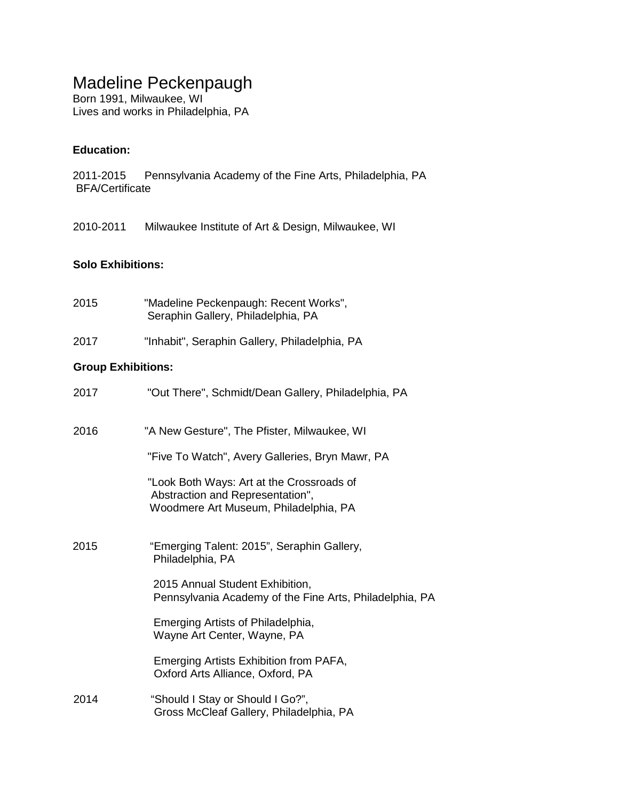## Madeline Peckenpaugh

Born 1991, Milwaukee, WI Lives and works in Philadelphia, PA

## **Education:**

- 2011-2015 Pennsylvania Academy of the Fine Arts, Philadelphia, PA BFA/Certificate
- 2010-2011 Milwaukee Institute of Art & Design, Milwaukee, WI

## **Solo Exhibitions:**

- 2015 "Madeline Peckenpaugh: Recent Works", Seraphin Gallery, Philadelphia, PA
- 2017 "Inhabit", Seraphin Gallery, Philadelphia, PA

## **Group Exhibitions:**

| 2017 | "Out There", Schmidt/Dean Gallery, Philadelphia, PA                                                                    |
|------|------------------------------------------------------------------------------------------------------------------------|
| 2016 | "A New Gesture", The Pfister, Milwaukee, WI                                                                            |
|      | "Five To Watch", Avery Galleries, Bryn Mawr, PA                                                                        |
|      | "Look Both Ways: Art at the Crossroads of<br>Abstraction and Representation",<br>Woodmere Art Museum, Philadelphia, PA |
| 2015 | "Emerging Talent: 2015", Seraphin Gallery,<br>Philadelphia, PA                                                         |
|      | 2015 Annual Student Exhibition,<br>Pennsylvania Academy of the Fine Arts, Philadelphia, PA                             |
|      | Emerging Artists of Philadelphia,<br>Wayne Art Center, Wayne, PA                                                       |
|      | Emerging Artists Exhibition from PAFA,<br>Oxford Arts Alliance, Oxford, PA                                             |
| 2014 | "Should I Stay or Should I Go?",<br>Gross McCleaf Gallery, Philadelphia, PA                                            |